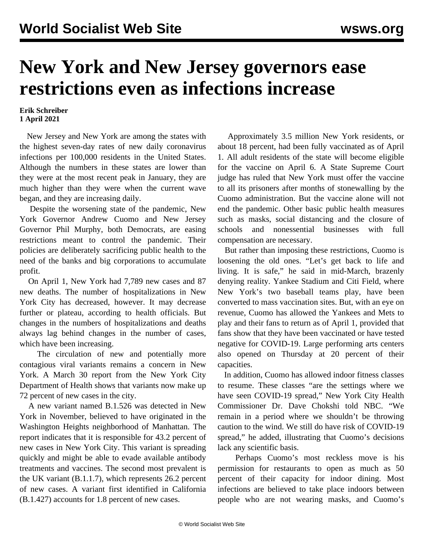## **New York and New Jersey governors ease restrictions even as infections increase**

## **Erik Schreiber 1 April 2021**

 New Jersey and New York are among the states with the highest seven-day rates of new daily coronavirus infections per 100,000 residents in the United States. Although the numbers in these states are lower than they were at the most recent peak in January, they are much higher than they were when the current wave began, and they are increasing daily.

 Despite the worsening state of the pandemic, New York Governor Andrew Cuomo and New Jersey Governor Phil Murphy, both Democrats, are easing restrictions meant to control the pandemic. Their policies are deliberately sacrificing public health to the need of the banks and big corporations to accumulate profit.

 On April 1, New York had 7,789 new cases and 87 new deaths. The number of hospitalizations in New York City has decreased, however. It may decrease further or plateau, according to health officials. But changes in the numbers of hospitalizations and deaths always lag behind changes in the number of cases, which have been increasing.

 The circulation of new and potentially more contagious viral variants remains a concern in New York. A March 30 report from the New York City Department of Health shows that variants now make up 72 percent of new cases in the city.

 A new variant named B.1.526 was detected in New York in November, believed to have originated in the Washington Heights neighborhood of Manhattan. The report indicates that it is responsible for 43.2 percent of new cases in New York City. This variant is spreading quickly and might be able to evade available antibody treatments and vaccines. The second most prevalent is the UK variant (B.1.1.7), which represents 26.2 percent of new cases. A variant first identified in California (B.1.427) accounts for 1.8 percent of new cases.

 Approximately 3.5 million New York residents, or about 18 percent, had been fully vaccinated as of April 1. All adult residents of the state will become eligible for the vaccine on April 6. A State Supreme Court judge has ruled that New York must offer the vaccine to all its prisoners after months of stonewalling by the Cuomo administration. But the vaccine alone will not end the pandemic. Other basic public health measures such as masks, social distancing and the closure of schools and nonessential businesses with full compensation are necessary.

 But rather than imposing these restrictions, Cuomo is loosening the old ones. "Let's get back to life and living. It is safe," he said in mid-March, brazenly denying reality. Yankee Stadium and Citi Field, where New York's two baseball teams play, have been converted to mass vaccination sites. But, with an eye on revenue, Cuomo has allowed the Yankees and Mets to play and their fans to return as of April 1, provided that fans show that they have been vaccinated or have tested negative for COVID-19. Large performing arts centers also opened on Thursday at 20 percent of their capacities.

 In addition, Cuomo has allowed indoor fitness classes to resume. These classes "are the settings where we have seen COVID-19 spread," New York City Health Commissioner Dr. Dave Chokshi told NBC. "We remain in a period where we shouldn't be throwing caution to the wind. We still do have risk of COVID-19 spread," he added, illustrating that Cuomo's decisions lack any scientific basis.

 Perhaps Cuomo's most reckless move is his permission for restaurants to open as much as 50 percent of their capacity for indoor dining. Most infections are believed to take place indoors between people who are not wearing masks, and Cuomo's